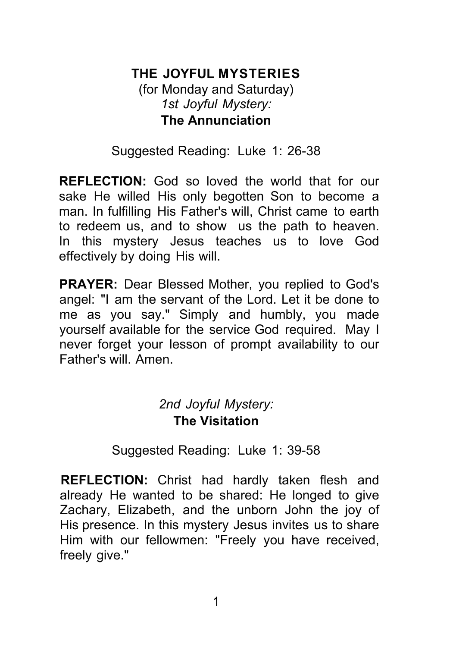# **THE JOYFUL MYSTERIES**

(for Monday and Saturday) *1st Joyful Mystery:* **The Annunciation**

Suggested Reading: Luke 1: 26-38

**REFLECTION:** God so loved the world that for our sake He willed His only begotten Son to become a man. In fulfilling His Father's will, Christ came to earth to redeem us, and to show us the path to heaven. In this mystery Jesus teaches us to love God effectively by doing His will.

**PRAYER:** Dear Blessed Mother, you replied to God's angel: "I am the servant of the Lord. Let it be done to me as you say." Simply and humbly, you made yourself available for the service God required. May I never forget your lesson of prompt availability to our Father's will. Amen.

### *2nd Joyful Mystery:* **The Visitation**

Suggested Reading: Luke 1: 39-58

**REFLECTION:** Christ had hardly taken flesh and already He wanted to be shared: He longed to give Zachary, Elizabeth, and the unborn John the joy of His presence. In this mystery Jesus invites us to share Him with our fellowmen: "Freely you have received, freely give."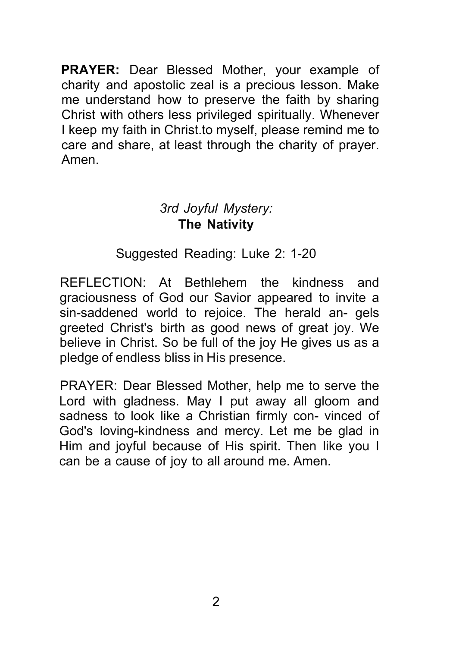**PRAYER:** Dear Blessed Mother, your example of charity and apostolic zeal is a precious lesson. Make me understand how to preserve the faith by sharing Christ with others less privileged spiritually. Whenever I keep my faith in Christ.to myself, please remind me to care and share, at least through the charity of prayer. Amen.

### *3rd Joyful Mystery:* **The Nativity**

### Suggested Reading: Luke 2: 1-20

REFLECTION: At Bethlehem the kindness and graciousness of God our Savior appeared to invite a sin-saddened world to rejoice. The herald an- gels greeted Christ's birth as good news of great joy. We believe in Christ. So be full of the joy He gives us as a pledge of endless bliss in His presence.

PRAYER: Dear Blessed Mother, help me to serve the Lord with gladness. May I put away all gloom and sadness to look like a Christian firmly con- vinced of God's loving-kindness and mercy. Let me be glad in Him and joyful because of His spirit. Then like you I can be a cause of joy to all around me. Amen.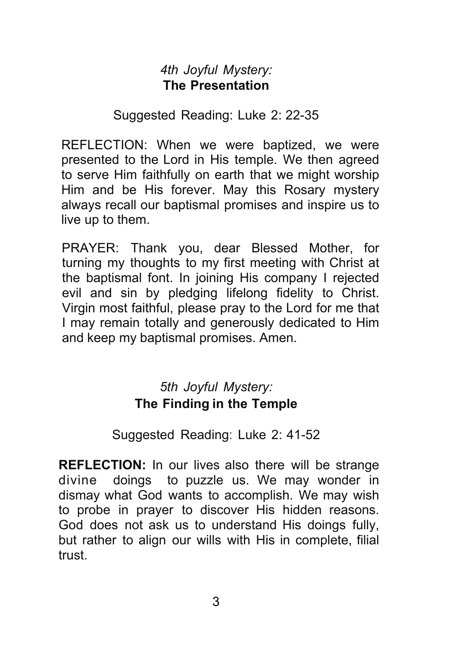### *4th Joyful Mystery:* **The Presentation**

Suggested Reading: Luke 2: 22-35

REFLECTION: When we were baptized, we were presented to the Lord in His temple. We then agreed to serve Him faithfully on earth that we might worship Him and be His forever. May this Rosary mystery always recall our baptismal promises and inspire us to live up to them.

PRAYER: Thank you, dear Blessed Mother, for turning my thoughts to my first meeting with Christ at the baptismal font. In joining His company I rejected evil and sin by pledging lifelong fidelity to Christ. Virgin most faithful, please pray to the Lord for me that I may remain totally and generously dedicated to Him and keep my baptismal promises. Amen.

# *5th Joyful Mystery:* **The Finding in the Temple**

### Suggested Reading: Luke 2: 41-52

**REFLECTION:** In our lives also there will be strange divine doings to puzzle us. We may wonder in dismay what God wants to accomplish. We may wish to probe in prayer to discover His hidden reasons. God does not ask us to understand His doings fully, but rather to align our wills with His in complete, filial trust.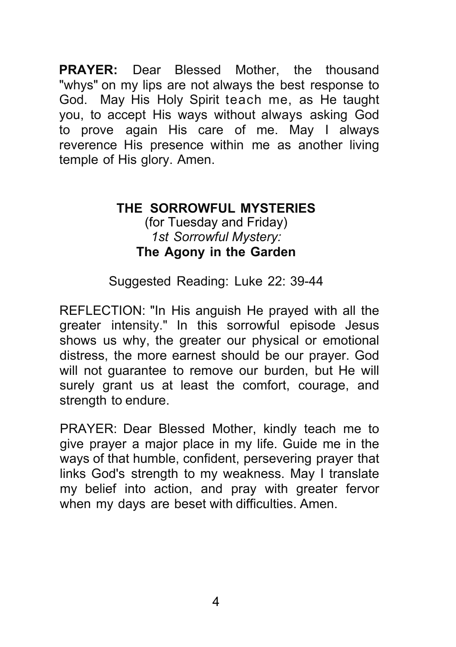**PRAYER:** Dear Blessed Mother, the thousand "whys" on my lips are not always the best response to God. May His Holy Spirit teach me, as He taught you, to accept His ways without always asking God to prove again His care of me. May I always reverence His presence within me as another living temple of His glory. Amen.

#### **THE SORROWFUL MYSTERIES** (for Tuesday and Friday) *1st Sorrowful Mystery:* **The Agony in the Garden**

#### Suggested Reading: Luke 22: 39-44

REFLECTION: "In His anguish He prayed with all the greater intensity." In this sorrowful episode Jesus shows us why, the greater our physical or emotional distress, the more earnest should be our prayer. God will not guarantee to remove our burden, but He will surely grant us at least the comfort, courage, and strength to endure.

PRAYER: Dear Blessed Mother, kindly teach me to give prayer a major place in my life. Guide me in the ways of that humble, confident, persevering prayer that links God's strength to my weakness. May I translate my belief into action, and pray with greater fervor when my days are beset with difficulties. Amen.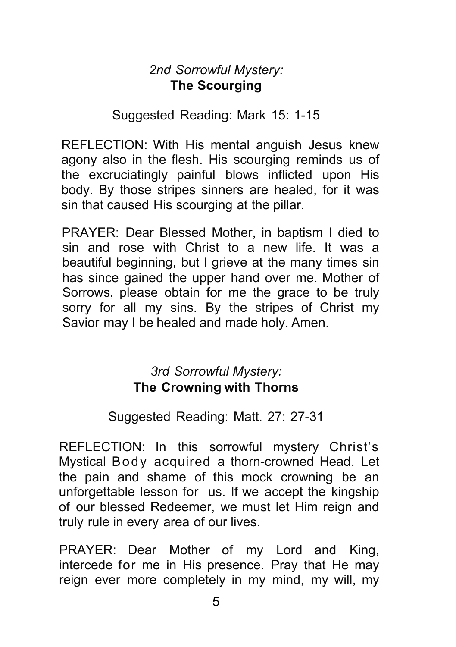### *2nd Sorrowful Mystery:* **The Scourging**

#### Suggested Reading: Mark 15: 1-15

REFLECTION: With His mental anguish Jesus knew agony also in the flesh. His scourging reminds us of the excruciatingly painful blows inflicted upon His body. By those stripes sinners are healed, for it was sin that caused His scourging at the pillar.

PRAYER: Dear Blessed Mother, in baptism I died to sin and rose with Christ to a new life. It was a beautiful beginning, but I grieve at the many times sin has since gained the upper hand over me. Mother of Sorrows, please obtain for me the grace to be truly sorry for all my sins. By the stripes of Christ my Savior may I be healed and made holy. Amen.

### *3rd Sorrowful Mystery:* **The Crowning with Thorns**

#### Suggested Reading: Matt. 27: 27-31

REFLECTION: In this sorrowful mystery Christ's Mystical Body acquired a thorn-crowned Head. Let the pain and shame of this mock crowning be an unforgettable lesson for us. If we accept the kingship of our blessed Redeemer, we must let Him reign and truly rule in every area of our lives.

PRAYER: Dear Mother of my Lord and King, intercede for me in His presence. Pray that He may reign ever more completely in my mind, my will, my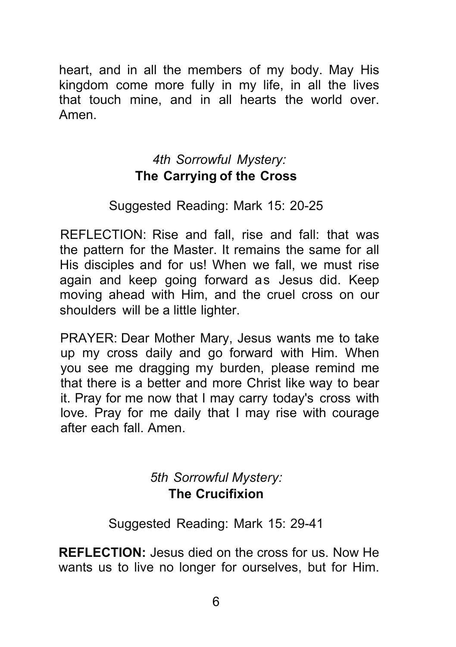heart, and in all the members of my body. May His kingdom come more fully in my life, in all the lives that touch mine, and in all hearts the world over. Amen.

### *4th Sorrowful Mystery:* **The Carrying of the Cross**

### Suggested Reading: Mark 15: 20-25

REFLECTION: Rise and fall, rise and fall: that was the pattern for the Master. It remains the same for all His disciples and for us! When we fall, we must rise again and keep going forward as Jesus did. Keep moving ahead with Him, and the cruel cross on our shoulders will be a little lighter.

PRAYER: Dear Mother Mary, Jesus wants me to take up my cross daily and go forward with Him. When you see me dragging my burden, please remind me that there is a better and more Christ like way to bear it. Pray for me now that I may carry today's cross with love. Pray for me daily that I may rise with courage after each fall. Amen.

# *5th Sorrowful Mystery:* **The Crucifixion**

Suggested Reading: Mark 15: 29-41

**REFLECTION:** Jesus died on the cross for us. Now He wants us to live no longer for ourselves, but for Him.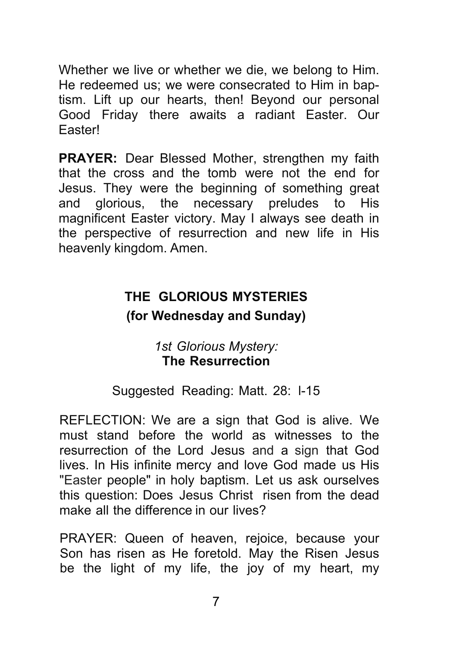Whether we live or whether we die, we belong to Him. He redeemed us; we were consecrated to Him in baptism. Lift up our hearts, then! Beyond our personal Good Friday there awaits a radiant Easter. Our Easter!

**PRAYER:** Dear Blessed Mother, strengthen my faith that the cross and the tomb were not the end for Jesus. They were the beginning of something great and glorious, the necessary preludes to His magnificent Easter victory. May I always see death in the perspective of resurrection and new life in His heavenly kingdom. Amen.

# **THE GLORIOUS MYSTERIES (for Wednesday and Sunday)**

### *1st Glorious Mystery:* **The Resurrection**

### Suggested Reading: Matt. 28: l-15

REFLECTION: We are a sign that God is alive. We must stand before the world as witnesses to the resurrection of the Lord Jesus and a sign that God lives. In His infinite mercy and love God made us His "Easter people" in holy baptism. Let us ask ourselves this question: Does Jesus Christ risen from the dead make all the difference in our lives?

PRAYER: Queen of heaven, rejoice, because your Son has risen as He foretold. May the Risen Jesus be the light of my life, the joy of my heart, my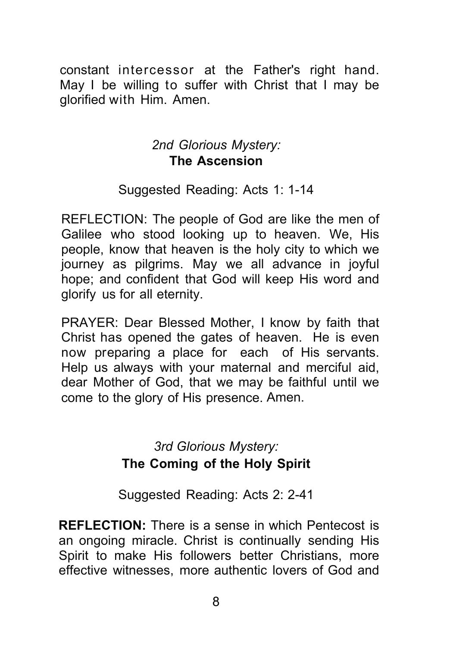constant intercessor at the Father's right hand. May I be willing to suffer with Christ that I may be glorified with Him. Amen.

### *2nd Glorious Mystery:* **The Ascension**

Suggested Reading: Acts 1: 1-14

REFLECTION: The people of God are like the men of Galilee who stood looking up to heaven. We, His people, know that heaven is the holy city to which we journey as pilgrims. May we all advance in joyful hope; and confident that God will keep His word and glorify us for all eternity.

PRAYER: Dear Blessed Mother, I know by faith that Christ has opened the gates of heaven. He is even now preparing a place for each of His servants. Help us always with your maternal and merciful aid, dear Mother of God, that we may be faithful until we come to the glory of His presence. Amen.

### *3rd Glorious Mystery:* **The Coming of the Holy Spirit**

Suggested Reading: Acts 2: 2-41

**REFLECTION:** There is a sense in which Pentecost is an ongoing miracle. Christ is continually sending His Spirit to make His followers better Christians, more effective witnesses, more authentic lovers of God and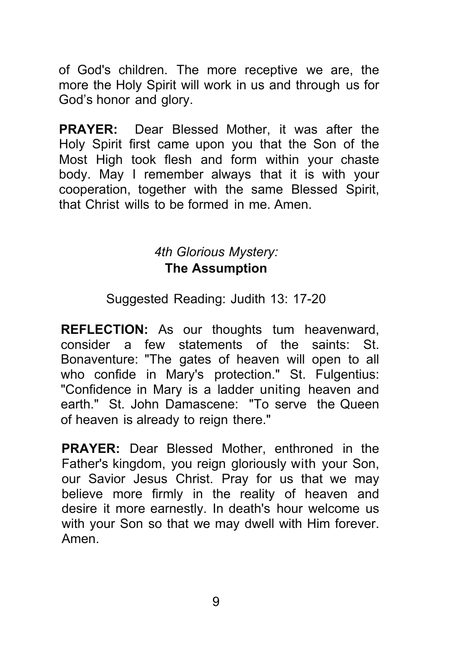of God's children. The more receptive we are, the more the Holy Spirit will work in us and through us for God's honor and glory.

**PRAYER:** Dear Blessed Mother, it was after the Holy Spirit first came upon you that the Son of the Most High took flesh and form within your chaste body. May I remember always that it is with your cooperation, together with the same Blessed Spirit, that Christ wills to be formed in me. Amen.

### *4th Glorious Mystery:* **The Assumption**

Suggested Reading: Judith 13: 17-20

**REFLECTION:** As our thoughts tum heavenward, consider a few statements of the saints: St. Bonaventure: "The gates of heaven will open to all who confide in Mary's protection." St. Fulgentius: "Confidence in Mary is a ladder uniting heaven and earth." St. John Damascene: "To serve the Queen of heaven is already to reign there."

**PRAYER:** Dear Blessed Mother, enthroned in the Father's kingdom, you reign gloriously with your Son, our Savior Jesus Christ. Pray for us that we may believe more firmly in the reality of heaven and desire it more earnestly. In death's hour welcome us with your Son so that we may dwell with Him forever. Amen.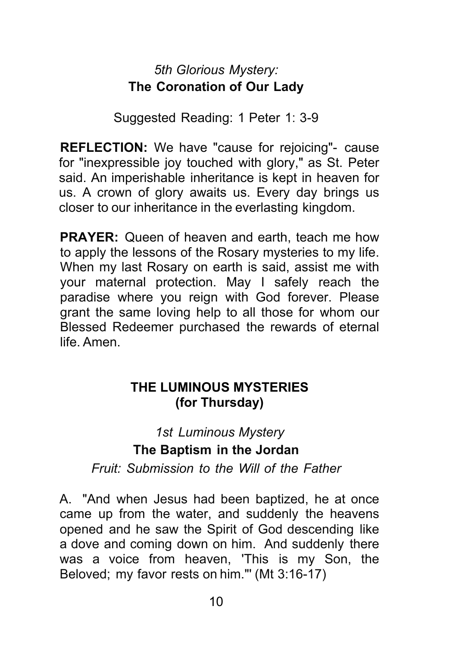# *5th Glorious Mystery:* **The Coronation of Our Lady**

Suggested Reading: 1 Peter 1: 3-9

**REFLECTION:** We have "cause for rejoicing"- cause for "inexpressible joy touched with glory," as St. Peter said. An imperishable inheritance is kept in heaven for us. A crown of glory awaits us. Every day brings us closer to our inheritance in the everlasting kingdom.

**PRAYER:** Queen of heaven and earth, teach me how to apply the lessons of the Rosary mysteries to my life. When my last Rosary on earth is said, assist me with your maternal protection. May I safely reach the paradise where you reign with God forever. Please grant the same loving help to all those for whom our Blessed Redeemer purchased the rewards of eternal life. Amen.

### **THE LUMINOUS MYSTERIES (for Thursday)**

# *1st Luminous Mystery* **The Baptism in the Jordan**

*Fruit: Submission to the Will of the Father*

A. "And when Jesus had been baptized, he at once came up from the water, and suddenly the heavens opened and he saw the Spirit of God descending like a dove and coming down on him. And suddenly there was a voice from heaven, 'This is my Son, the Beloved; my favor rests on him."' (Mt 3:16-17)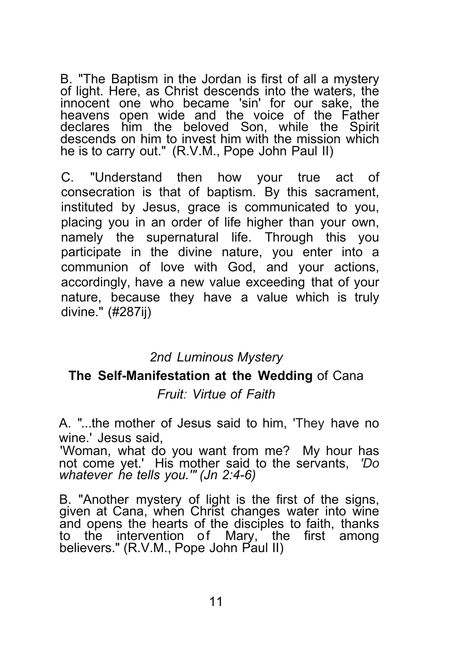B. "The Baptism in the Jordan is first of all <sup>a</sup> mystery of light. Here, as Christ descends into the waters, the innocent one who became 'sin' for our sake, the heavens open wide and the voice of the Father declares him the beloved Son, while the Spirit descends on him to invest him with the mission which he is to carry out." (R.V.M., Pope John Paul II)

C. "Understand then how your true act of consecration is that of baptism. By this sacrament, instituted by Jesus, grace is communicated to you, placing you in an order of life higher than your own, namely the supernatural life. Through this you participate in the divine nature, you enter into a communion of love with God, and your actions, accordingly, have a new value exceeding that of your nature, because they have a value which is truly divine." (#287ij)

#### *2nd Luminous Mystery*

#### **The Self-Manifestation at the Wedding** of Cana *Fruit: Virtue of Faith*

A. "...the mother of Jesus said to him, 'They have no wine.' Jesus said,

'Woman, what do you want from me? My hour has not come yet.' His mother said to the servants, *'Do whatever he tells you.'" (Jn 2:4-6)*

B. "Another mystery of light is the first of the signs, given at Cana, when Christ changes water into wine and opens the hearts of the disciples to faith, thanks to the intervention of Mary, the first among believers." (R.V.M., Pope John Paul II)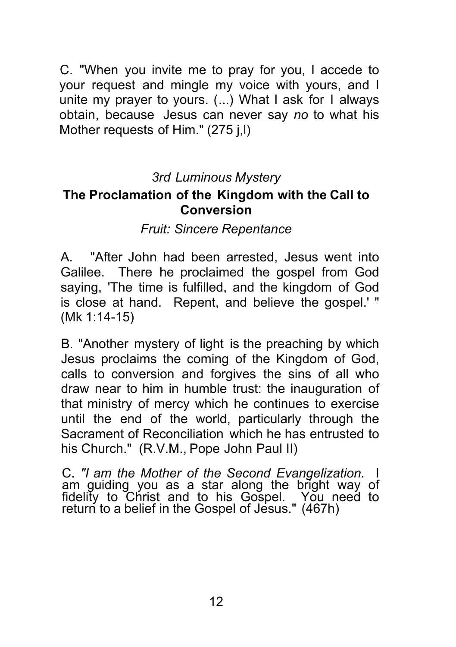C. "When you invite me to pray for you, I accede to your request and mingle my voice with yours, and I unite my prayer to yours. (...) What I ask for I always obtain, because Jesus can never say *no* to what his Mother requests of Him." (275 j,l)

### *3rd Luminous Mystery*

#### **The Proclamation of the Kingdom with the Call to Conversion**

#### *Fruit: Sincere Repentance*

A. "After John had been arrested, Jesus went into Galilee. There he proclaimed the gospel from God saying, 'The time is fulfilled, and the kingdom of God is close at hand. Repent, and believe the gospel.' " (Mk 1:14-15)

B. "Another mystery of light is the preaching by which Jesus proclaims the coming of the Kingdom of God, calls to conversion and forgives the sins of all who draw near to him in humble trust: the inauguration of that ministry of mercy which he continues to exercise until the end of the world, particularly through the Sacrament of Reconciliation which he has entrusted to his Church." (R.V.M., Pope John Paul II)

C. *"I am the Mother of the Second Evangelization.* I am guiding you as a star along the bright way of fidelity to Christ and to his Gospel. You need to return to a belief in the Gospel of Jesus." (467h)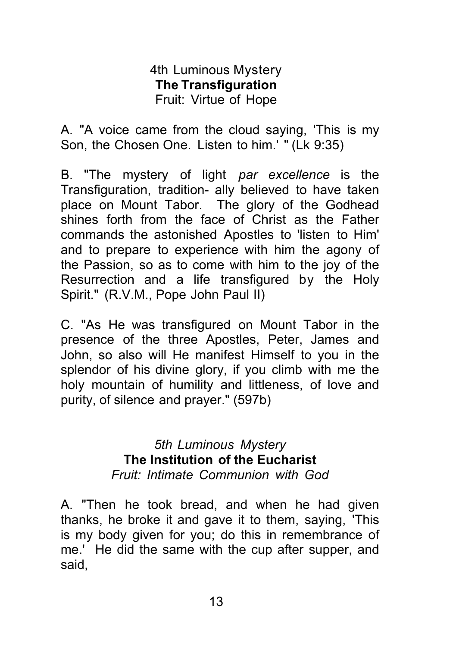#### 4th Luminous Mystery **The Transfiguration** Fruit: Virtue of Hope

A. "A voice came from the cloud saying, 'This is my Son, the Chosen One. Listen to him.' " (Lk 9:35)

B. "The mystery of light *par excellence* is the Transfiguration, tradition- ally believed to have taken place on Mount Tabor. The glory of the Godhead shines forth from the face of Christ as the Father commands the astonished Apostles to 'listen to Him' and to prepare to experience with him the agony of the Passion, so as to come with him to the joy of the Resurrection and a life transfigured by the Holy Spirit." (R.V.M., Pope John Paul II)

C. "As He was transfigured on Mount Tabor in the presence of the three Apostles, Peter, James and John, so also will He manifest Himself to you in the splendor of his divine glory, if you climb with me the holy mountain of humility and littleness, of love and purity, of silence and prayer." (597b)

> *5th Luminous Mystery* **The Institution of the Eucharist** *Fruit: Intimate Communion with God*

A. "Then he took bread, and when he had given thanks, he broke it and gave it to them, saying, 'This is my body given for you; do this in remembrance of me.' He did the same with the cup after supper, and said,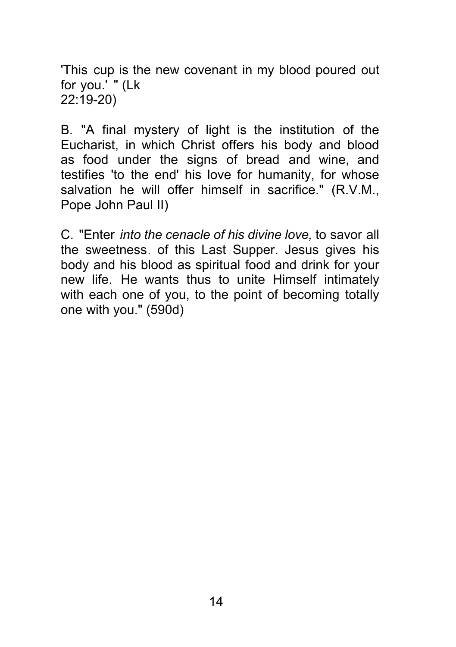'This cup is the new covenant in my blood poured out for you.' " (Lk 22:19-20)

B. "A final mystery of light is the institution of the Eucharist, in which Christ offers his body and blood as food under the signs of bread and wine, and testifies 'to the end' his love for humanity, for whose salvation he will offer himself in sacrifice." (R.V.M., Pope John Paul II)

C. "Enter *into the cenacle of his divine love,* to savor all the sweetness. of this Last Supper. Jesus gives his body and his blood as spiritual food and drink for your new life. He wants thus to unite Himself intimately with each one of you, to the point of becoming totally one with you." (590d)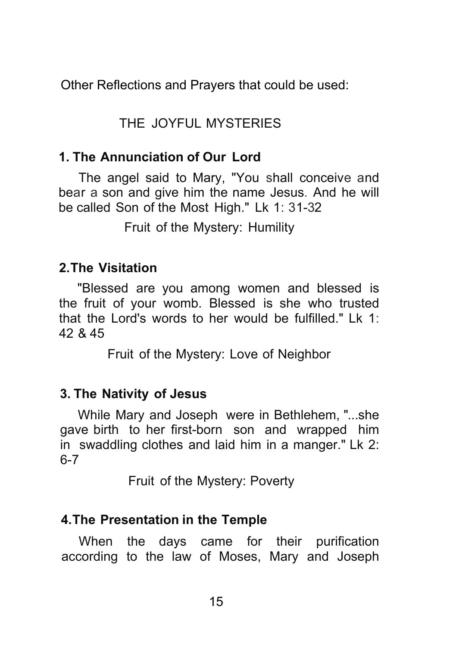Other Reflections and Prayers that could be used:

# THE JOYFUL MYSTERIES

#### **1. The Annunciation of Our Lord**

The angel said to Mary, "You shall conceive and bear a son and give him the name Jesus. And he will be called Son of the Most High." Lk 1: 31-32

Fruit of the Mystery: Humility

### **2.The Visitation**

"Blessed are you among women and blessed is the fruit of your womb. Blessed is she who trusted that the Lord's words to her would be fulfilled." Lk 1: 42 & 45

Fruit of the Mystery: Love of Neighbor

#### **3. The Nativity of Jesus**

While Mary and Joseph were in Bethlehem, "...she gave birth to her first-born son and wrapped him in swaddling clothes and laid him in a manger." Lk 2: 6-7

Fruit of the Mystery: Poverty

### **4.The Presentation in the Temple**

When the days came for their purification according to the law of Moses, Mary and Joseph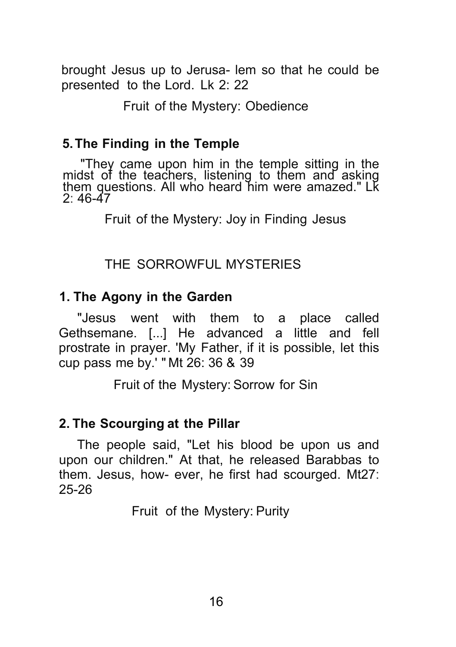brought Jesus up to Jerusa- lem so that he could be presented to the Lord. Lk 2: 22

#### Fruit of the Mystery: Obedience

#### **5.The Finding in the Temple**

"They came upon him in the temple sitting in the midst of the teachers, listening to them and asking<br>them questions. All who heard him were amazed." Lk  $2.46 - 47$ 

Fruit of the Mystery: Joy in Finding Jesus

#### THE SORROWFUL MYSTERIES

#### **1. The Agony in the Garden**

"Jesus went with them to a place called Gethsemane. [...] He advanced a little and fell prostrate in prayer. 'My Father, if it is possible, let this cup pass me by.' " Mt 26: 36 & 39

Fruit of the Mystery: Sorrow for Sin

#### **2. The Scourging at the Pillar**

The people said, "Let his blood be upon us and upon our children." At that, he released Barabbas to them. Jesus, how- ever, he first had scourged. Mt27: 25-26

Fruit of the Mystery: Purity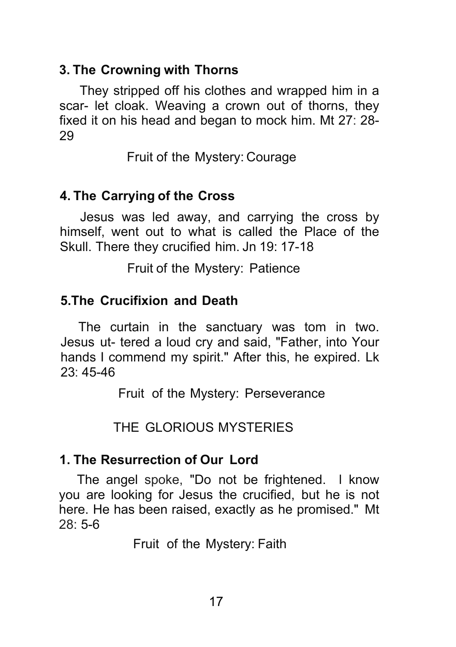### **3. The Crowning with Thorns**

They stripped off his clothes and wrapped him in a scar- let cloak. Weaving a crown out of thorns, they fixed it on his head and began to mock him. Mt 27: 28- 29

Fruit of the Mystery: Courage

# **4. The Carrying of the Cross**

Jesus was led away, and carrying the cross by himself, went out to what is called the Place of the Skull. There they crucified him. Jn 19: 17-18

Fruit of the Mystery: Patience

# **5.The Crucifixion and Death**

The curtain in the sanctuary was tom in two. Jesus ut- tered a loud cry and said, "Father, into Your hands I commend my spirit." After this, he expired. Lk 23: 45-46

Fruit of the Mystery: Perseverance

THE GLORIOUS MYSTERIES

### **1. The Resurrection of Our Lord**

The angel spoke, "Do not be frightened. l know you are looking for Jesus the crucified, but he is not here. He has been raised, exactly as he promised." Mt 28: 5-6

Fruit of the Mystery: Faith